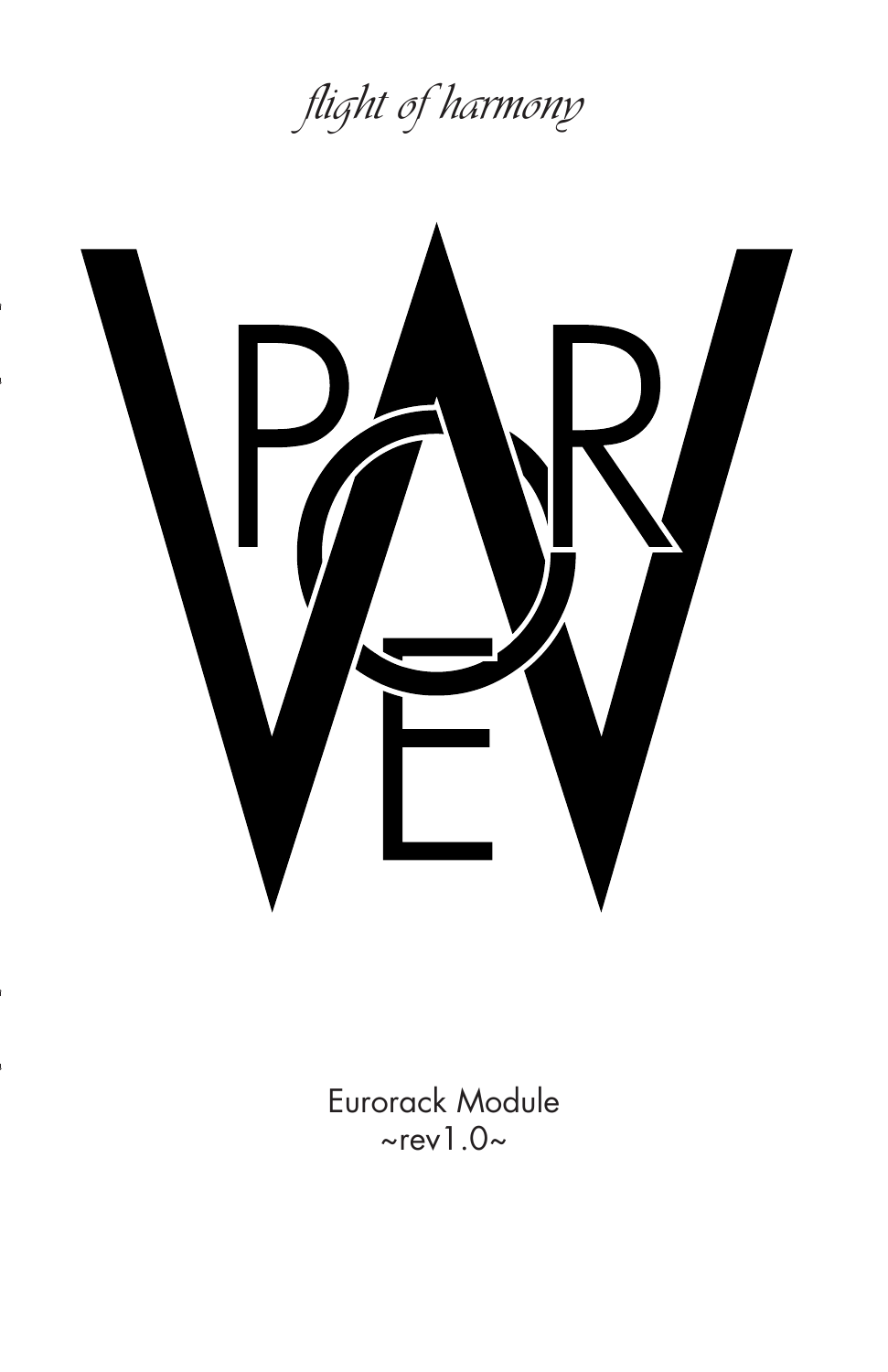



Eurorack Module  $\sim$ rev1.0 $\sim$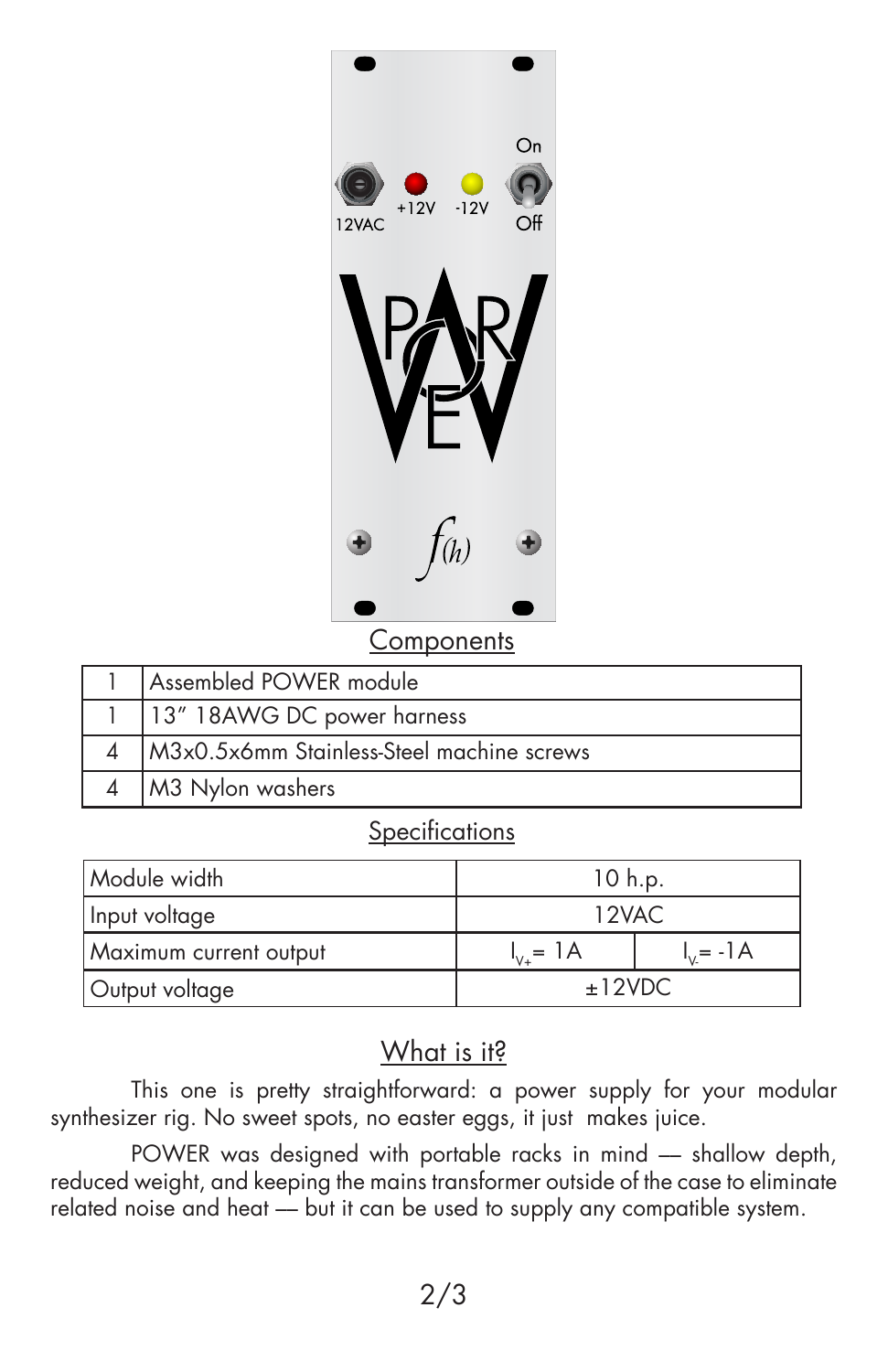

**Components** 

| Assembled POWER module                    |
|-------------------------------------------|
| 13" 18AWG DC power harness                |
| M3x0.5x6mm Stainless-Steel machine screws |
| M3 Nylon washers                          |

#### **Specifications**

| Module width           | 10 h.p.          |             |
|------------------------|------------------|-------------|
| Input voltage          | 12VAC            |             |
| Maximum current output | $I_{v_{+}} = 1A$ | $I_v = -1A$ |
| Output voltage         | ±12VDC           |             |

### What is it?

This one is pretty straightforward: a power supply for your modular synthesizer rig. No sweet spots, no easter eggs, it just makes juice.

POWER was designed with portable racks in mind - shallow depth, reduced weight, and keeping the mains transformer outside of the case to eliminate related noise and heat -- but it can be used to supply any compatible system.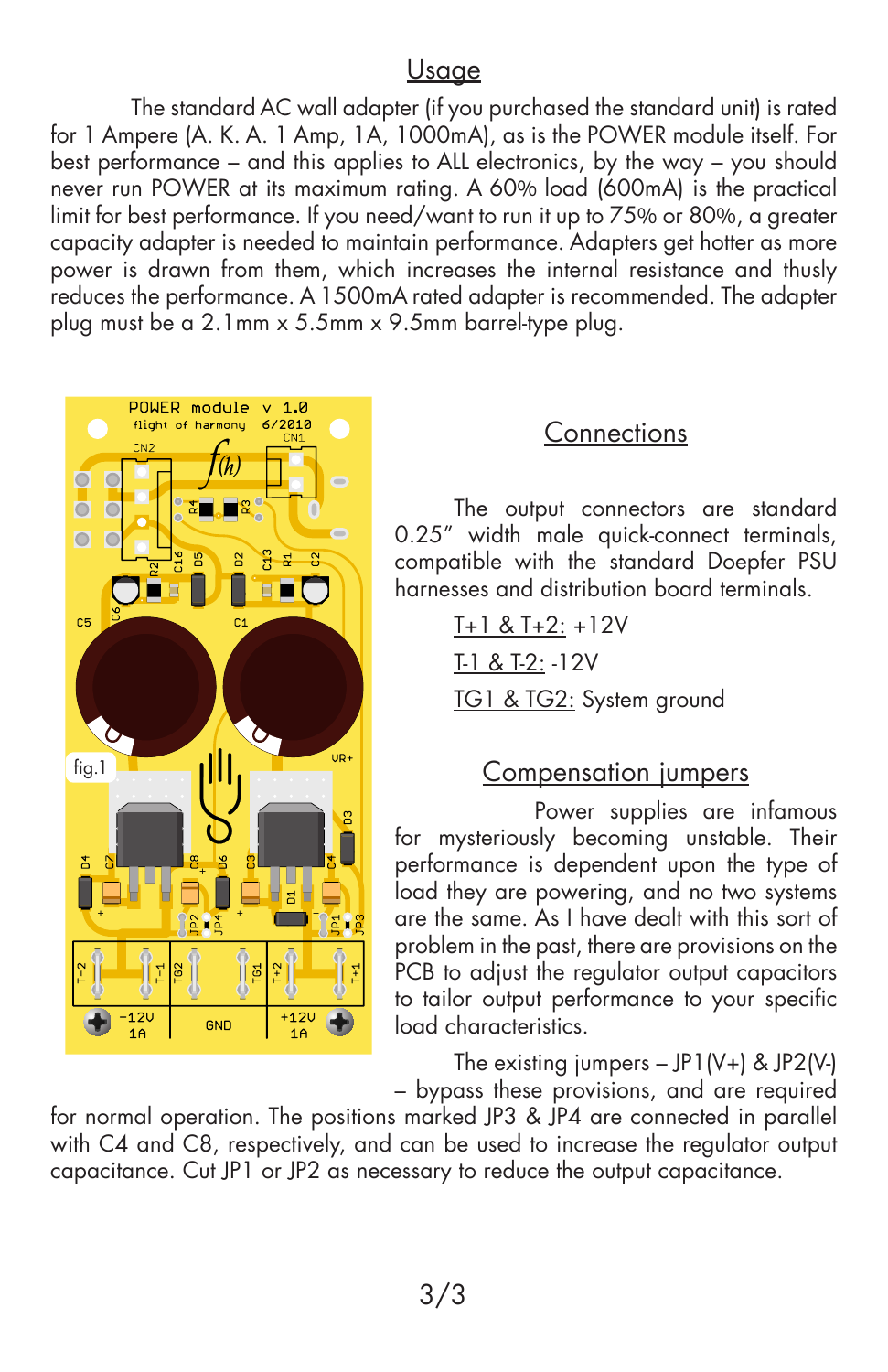# Usage

The standard AC wall adapter (if you purchased the standard unit) is rated for 1 Ampere (A. K. A. 1 Amp, 1A, 1000mA), as is the POWER module itself. For best performance – and this applies to ALL electronics, by the way – you should never run POWER at its maximum rating. A 60% load (600mA) is the practical limit for best performance. If you need/want to run it up to 75% or 80%, a greater capacity adapter is needed to maintain performance. Adapters get hotter as more power is drawn from them, which increases the internal resistance and thusly reduces the performance. A 1500mA rated adapter is recommended. The adapter plug must be a 2.1mm x 5.5mm x 9.5mm barrel-type plug.



### **Connections**

The output connectors are standard 0.25" width male quick-connect terminals, compatible with the standard Doepfer PSU harnesses and distribution board terminals.

> $T+1$  &  $T+2$ : +12V T-1 & T-2: -12V TG1 & TG2: System ground

### Compensation jumpers

 Power supplies are infamous for mysteriously becoming unstable. Their performance is dependent upon the type of load they are powering, and no two systems are the same. As I have dealt with this sort of problem in the past, there are provisions on the PCB to adjust the regulator output capacitors to tailor output performance to your specific load characteristics.

The existing jumpers  $-$  JP1(V+) & JP2(V-) – bypass these provisions, and are required

for normal operation. The positions marked JP3 & JP4 are connected in parallel with C4 and C8, respectively, and can be used to increase the regulator output capacitance. Cut JP1 or JP2 as necessary to reduce the output capacitance.